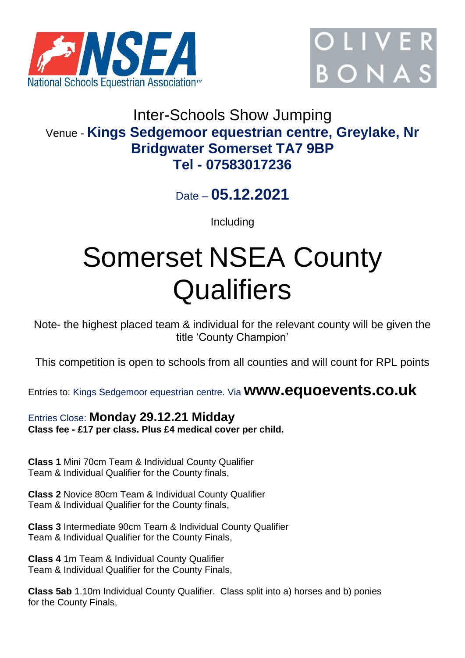



# Inter-Schools Show Jumping Venue - **Kings Sedgemoor equestrian centre, Greylake, Nr Bridgwater Somerset TA7 9BP Tel - 07583017236**

Date – **05.12.2021**

Including

# Somerset NSEA County **Qualifiers**

Note- the highest placed team & individual for the relevant county will be given the title 'County Champion'

This competition is open to schools from all counties and will count for RPL points

Entries to: Kings Sedgemoor equestrian centre. Via **www.equoevents.co.uk**

# Entries Close: **Monday 29.12.21 Midday Class fee - £17 per class. Plus £4 medical cover per child.**

**Class 1** Mini 70cm Team & Individual County Qualifier Team & Individual Qualifier for the County finals,

**Class 2** Novice 80cm Team & Individual County Qualifier Team & Individual Qualifier for the County finals,

**Class 3** Intermediate 90cm Team & Individual County Qualifier Team & Individual Qualifier for the County Finals,

**Class 4** 1m Team & Individual County Qualifier Team & Individual Qualifier for the County Finals,

**Class 5ab** 1.10m Individual County Qualifier. Class split into a) horses and b) ponies for the County Finals,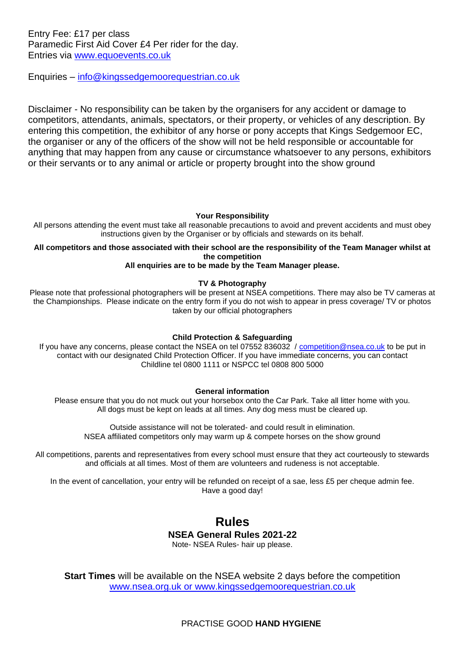Entry Fee: £17 per class Paramedic First Aid Cover £4 Per rider for the day. Entries via [www.equoevents.co.uk](http://www.equoevents.co.uk/)

Enquiries – [info@kingssedgemoorequestrian.co.uk](mailto:info@kingssedgemoorequestrian.co.uk)

Disclaimer - No responsibility can be taken by the organisers for any accident or damage to competitors, attendants, animals, spectators, or their property, or vehicles of any description. By entering this competition, the exhibitor of any horse or pony accepts that Kings Sedgemoor EC, the organiser or any of the officers of the show will not be held responsible or accountable for anything that may happen from any cause or circumstance whatsoever to any persons, exhibitors or their servants or to any animal or article or property brought into the show ground

#### **Your Responsibility**

All persons attending the event must take all reasonable precautions to avoid and prevent accidents and must obey instructions given by the Organiser or by officials and stewards on its behalf.

### **All competitors and those associated with their school are the responsibility of the Team Manager whilst at the competition**

#### **All enquiries are to be made by the Team Manager please.**

#### **TV & Photography**

Please note that professional photographers will be present at NSEA competitions. There may also be TV cameras at the Championships. Please indicate on the entry form if you do not wish to appear in press coverage/ TV or photos taken by our official photographers

#### **Child Protection & Safeguarding**

If you have any concerns, please contact the NSEA on tel 07552 836032 / [competition@nsea.co.uk](mailto:competition@nsea.co.uk) to be put in contact with our designated Child Protection Officer. If you have immediate concerns, you can contact Childline tel 0800 1111 or NSPCC tel 0808 800 5000

#### **General information**

Please ensure that you do not muck out your horsebox onto the Car Park. Take all litter home with you. All dogs must be kept on leads at all times. Any dog mess must be cleared up.

Outside assistance will not be tolerated- and could result in elimination. NSEA affiliated competitors only may warm up & compete horses on the show ground

All competitions, parents and representatives from every school must ensure that they act courteously to stewards and officials at all times. Most of them are volunteers and rudeness is not acceptable.

In the event of cancellation, your entry will be refunded on receipt of a sae, less £5 per cheque admin fee. Have a good day!

## **Rules NSEA General Rules 2021-22** Note- NSEA Rules- hair up please.

**Start Times** will be available on the NSEA website 2 days before the competition [www.nsea.org.uk](http://www.nsea.org.uk/) or [www.kingssedgemoorequestrian.co.uk](http://www.kingssedgemoorequestrian.co.uk/)

PRACTISE GOOD **HAND HYGIENE**